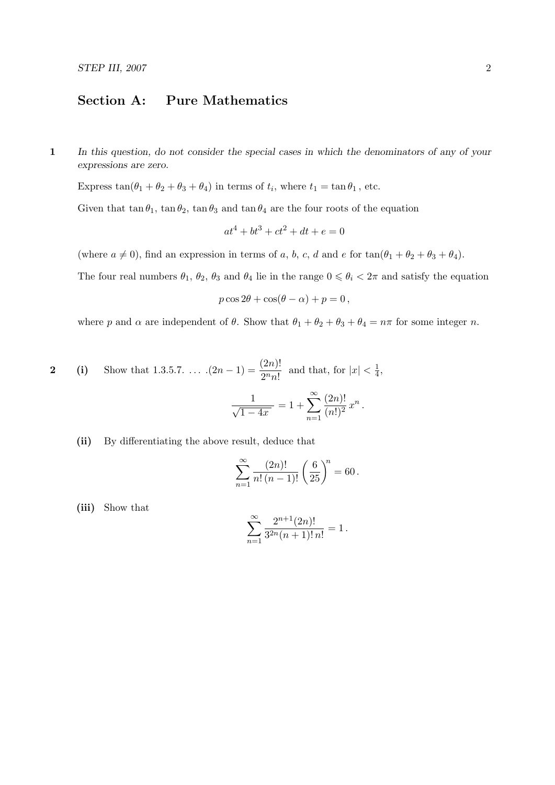## Section A: Pure Mathematics

1 In this question, do not consider the special cases in which the denominators of any of your expressions are zero.

Express  $\tan(\theta_1 + \theta_2 + \theta_3 + \theta_4)$  in terms of  $t_i$ , where  $t_1 = \tan \theta_1$ , etc.

Given that  $\tan \theta_1$ ,  $\tan \theta_2$ ,  $\tan \theta_3$  and  $\tan \theta_4$  are the four roots of the equation

$$
at^4 + bt^3 + ct^2 + dt + e = 0
$$

(where  $a \neq 0$ ), find an expression in terms of a, b, c, d and e for  $tan(\theta_1 + \theta_2 + \theta_3 + \theta_4)$ .

The four real numbers  $\theta_1$ ,  $\theta_2$ ,  $\theta_3$  and  $\theta_4$  lie in the range  $0 \le \theta_i < 2\pi$  and satisfy the equation

$$
p\cos 2\theta + \cos(\theta - \alpha) + p = 0,
$$

where p and  $\alpha$  are independent of  $\theta$ . Show that  $\theta_1 + \theta_2 + \theta_3 + \theta_4 = n\pi$  for some integer n.

2 (i) Show that 1.3.5.7. ... 
$$
(2n - 1) = \frac{(2n)!}{2^n n!}
$$
 and that, for  $|x| < \frac{1}{4}$ ,  

$$
\frac{1}{\sqrt{1 - 4x}} = 1 + \sum_{n=1}^{\infty} \frac{(2n)!}{(n!)^2} x^n.
$$

## (ii) By differentiating the above result, deduce that

$$
\sum_{n=1}^{\infty} \frac{(2n)!}{n! (n-1)!} \left(\frac{6}{25}\right)^n = 60.
$$

(iii) Show that

$$
\sum_{n=1}^{\infty} \frac{2^{n+1}(2n)!}{3^{2n}(n+1)! \, n!} = 1 \, .
$$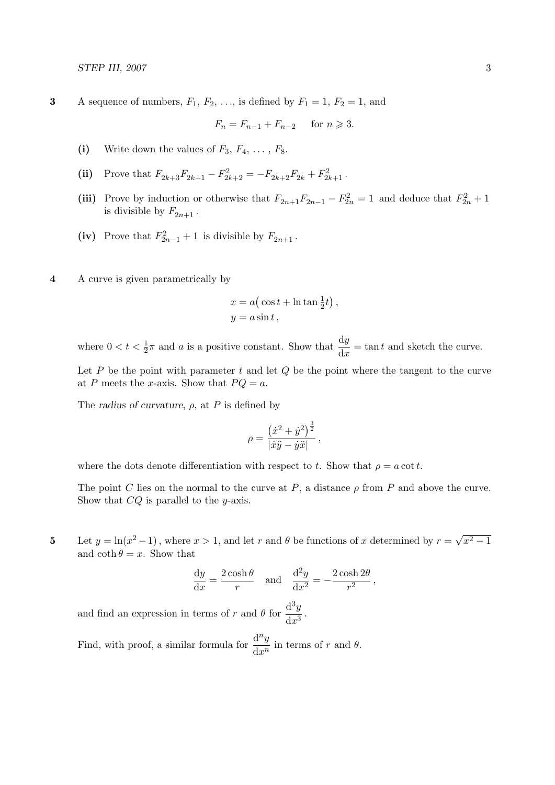3 A sequence of numbers,  $F_1, F_2, \ldots$ , is defined by  $F_1 = 1, F_2 = 1$ , and

$$
F_n = F_{n-1} + F_{n-2} \quad \text{for } n \geq 3.
$$

- (i) Write down the values of  $F_3, F_4, \ldots, F_8$ .
- (ii) Prove that  $F_{2k+3}F_{2k+1} F_{2k+2}^2 = -F_{2k+2}F_{2k} + F_{2k+1}^2$ .
- (iii) Prove by induction or otherwise that  $F_{2n+1}F_{2n-1} F_{2n}^2 = 1$  and deduce that  $F_{2n}^2 + 1$ is divisible by  $F_{2n+1}$ .
- (iv) Prove that  $F_{2n-1}^2 + 1$  is divisible by  $F_{2n+1}$ .
- 4 A curve is given parametrically by

$$
x = a(\cos t + \ln \tan \frac{1}{2}t),
$$
  

$$
y = a\sin t,
$$

where  $0 < t < \frac{1}{2}\pi$  and a is a positive constant. Show that  $\frac{dy}{dx} = \tan t$  and sketch the curve.

Let  $P$  be the point with parameter  $t$  and let  $Q$  be the point where the tangent to the curve at P meets the x-axis. Show that  $PQ = a$ .

The radius of curvature,  $\rho$ , at P is defined by

$$
\rho = \frac{\left(\dot{x}^2 + \dot{y}^2\right)^{\frac{3}{2}}}{\left|\dot{x}\ddot{y} - \dot{y}\ddot{x}\right|},
$$

where the dots denote differentiation with respect to t. Show that  $\rho = a \cot t$ .

The point C lies on the normal to the curve at P, a distance  $\rho$  from P and above the curve. Show that  $CQ$  is parallel to the y-axis.

5 Let  $y = \ln(x^2 - 1)$ , where  $x > 1$ , and let r and  $\theta$  be functions of x determined by  $r = \sqrt{ }$  $\sqrt{x^2-1}$ and  $\coth \theta = x$ . Show that

$$
\frac{dy}{dx} = \frac{2\cosh\theta}{r} \quad \text{and} \quad \frac{d^2y}{dx^2} = -\frac{2\cosh 2\theta}{r^2} \,,
$$

and find an expression in terms of r and  $\theta$  for  $\frac{d^3y}{dx^3}$  $\frac{d^2y}{dx^3}$ .

Find, with proof, a similar formula for  $\frac{d^n y}{dx^n}$  $\frac{d^{n}y}{dx^{n}}$  in terms of r and  $\theta$ .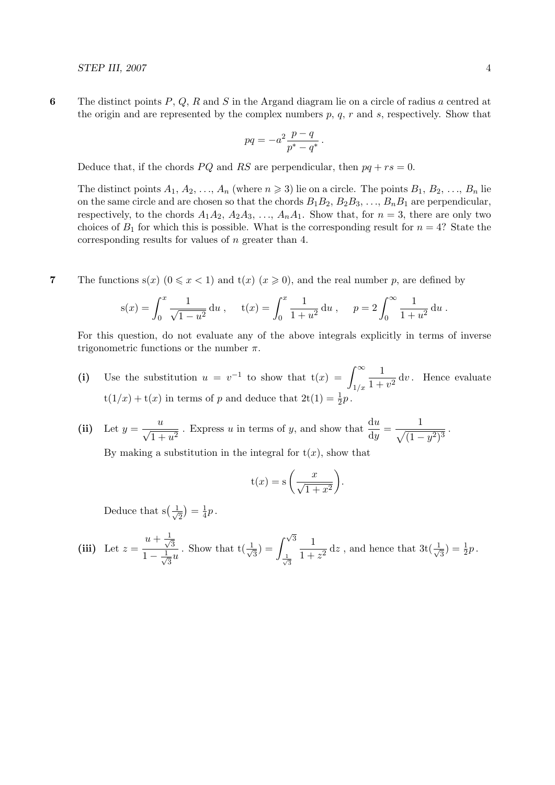6 The distinct points  $P, Q, R$  and S in the Argand diagram lie on a circle of radius a centred at the origin and are represented by the complex numbers  $p$ ,  $q$ ,  $r$  and  $s$ , respectively. Show that

$$
pq = -a^2 \frac{p-q}{p^*-q^*}.
$$

Deduce that, if the chords PQ and RS are perpendicular, then  $pq + rs = 0$ .

The distinct points  $A_1, A_2, \ldots, A_n$  (where  $n \geq 3$ ) lie on a circle. The points  $B_1, B_2, \ldots, B_n$  lie on the same circle and are chosen so that the chords  $B_1B_2, B_2B_3, \ldots, B_nB_1$  are perpendicular, respectively, to the chords  $A_1A_2$ ,  $A_2A_3$ , ...,  $A_nA_1$ . Show that, for  $n = 3$ , there are only two choices of  $B_1$  for which this is possible. What is the corresponding result for  $n = 4$ ? State the corresponding results for values of n greater than 4.

7 The functions  $s(x)$   $(0 \le x < 1)$  and  $t(x)$   $(x \ge 0)$ , and the real number p, are defined by

$$
s(x) = \int_0^x \frac{1}{\sqrt{1 - u^2}} du, \quad t(x) = \int_0^x \frac{1}{1 + u^2} du, \quad p = 2 \int_0^\infty \frac{1}{1 + u^2} du.
$$

For this question, do not evaluate any of the above integrals explicitly in terms of inverse trigonometric functions or the number  $\pi$ .

- (i) Use the substitution  $u = v^{-1}$  to show that  $t(x) = \int_{-\infty}^{\infty}$  $1/x$ 1  $\frac{1}{1+v^2}$  dv. Hence evaluate  $t(1/x) + t(x)$  in terms of p and deduce that  $2t(1) = \frac{1}{2}p$ .
- (ii) Let  $y = \frac{u}{\sqrt{u}}$  $\frac{u}{1+u^2}$ . Express u in terms of y, and show that  $\frac{du}{dy} = \frac{1}{\sqrt{(1-1)}}$  $\frac{1}{\sqrt{(1-y^2)^3}}$ .

By making a substitution in the integral for  $t(x)$ , show that

$$
t(x) = s\left(\frac{x}{\sqrt{1+x^2}}\right).
$$

Deduce that  $s(\frac{1}{\sqrt{2}})$  $\frac{1}{2}$  =  $\frac{1}{4}$  $rac{1}{4}p$ .

(iii) Let 
$$
z = \frac{u + \frac{1}{\sqrt{3}}}{1 - \frac{1}{\sqrt{3}}u}
$$
. Show that  $t(\frac{1}{\sqrt{3}}) = \int_{\frac{1}{\sqrt{3}}}^{\sqrt{3}} \frac{1}{1 + z^2} dz$ , and hence that  $3t(\frac{1}{\sqrt{3}}) = \frac{1}{2}p$ .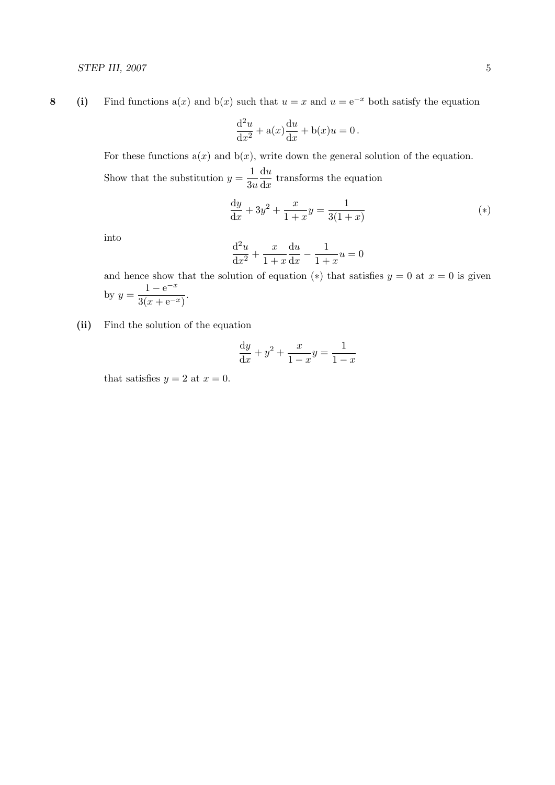8 (i) Find functions a(x) and b(x) such that  $u = x$  and  $u = e^{-x}$  both satisfy the equation

$$
\frac{\mathrm{d}^2 u}{\mathrm{d}x^2} + \mathbf{a}(x)\frac{\mathrm{d}u}{\mathrm{d}x} + \mathbf{b}(x)u = 0.
$$

For these functions  $a(x)$  and  $b(x)$ , write down the general solution of the equation. Show that the substitution  $y = \frac{1}{2}$  $3u$ du  $\frac{du}{dx}$  transforms the equation

$$
\frac{dy}{dx} + 3y^2 + \frac{x}{1+x}y = \frac{1}{3(1+x)}
$$
 (\*)

into

$$
\frac{\mathrm{d}^2 u}{\mathrm{d}x^2} + \frac{x}{1+x} \frac{\mathrm{d}u}{\mathrm{d}x} - \frac{1}{1+x} u = 0
$$

and hence show that the solution of equation (\*) that satisfies  $y = 0$  at  $x = 0$  is given by  $y = \frac{1 - e^{-x}}{2(1 - e^{-x})}$  $\frac{1}{3(x+e^{-x})}$ .

(ii) Find the solution of the equation

$$
\frac{\mathrm{d}y}{\mathrm{d}x} + y^2 + \frac{x}{1-x}y = \frac{1}{1-x}
$$

that satisfies  $y = 2$  at  $x = 0$ .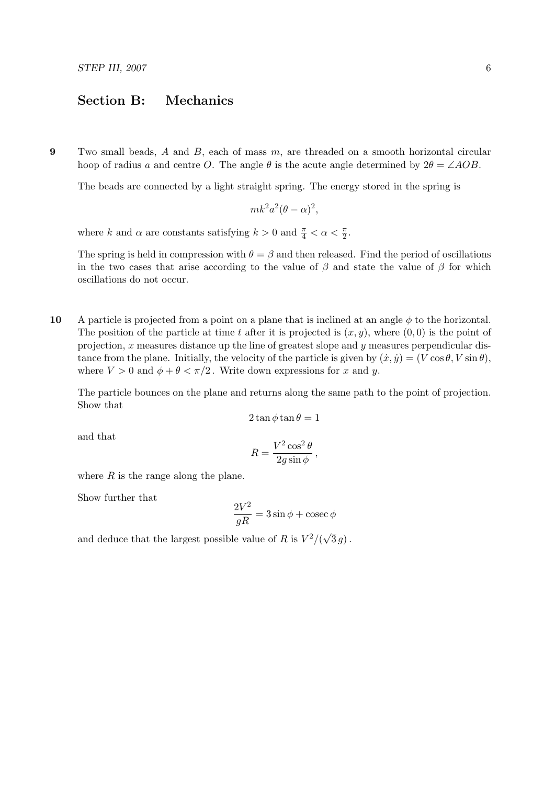## Section B: Mechanics

9 Two small beads,  $A$  and  $B$ , each of mass  $m$ , are threaded on a smooth horizontal circular hoop of radius a and centre O. The angle  $\theta$  is the acute angle determined by  $2\theta = \angle AOB$ .

The beads are connected by a light straight spring. The energy stored in the spring is

$$
mk^2a^2(\theta - \alpha)^2,
$$

where k and  $\alpha$  are constants satisfying  $k > 0$  and  $\frac{\pi}{4} < \alpha < \frac{\pi}{2}$ .

The spring is held in compression with  $\theta = \beta$  and then released. Find the period of oscillations in the two cases that arise according to the value of  $\beta$  and state the value of  $\beta$  for which oscillations do not occur.

10 A particle is projected from a point on a plane that is inclined at an angle  $\phi$  to the horizontal. The position of the particle at time t after it is projected is  $(x, y)$ , where  $(0, 0)$  is the point of projection,  $x$  measures distance up the line of greatest slope and  $y$  measures perpendicular distance from the plane. Initially, the velocity of the particle is given by  $(\dot{x}, \dot{y}) = (V \cos \theta, V \sin \theta)$ , where  $V > 0$  and  $\phi + \theta < \pi/2$ . Write down expressions for x and y.

The particle bounces on the plane and returns along the same path to the point of projection. Show that

$$
2\tan\phi\tan\theta=1
$$

and that

$$
R = \frac{V^2 \cos^2 \theta}{2g \sin \phi},
$$

where  $R$  is the range along the plane.

Show further that

$$
\frac{2V^2}{gR}=3\sin\phi+\csc\phi
$$

and deduce that the largest possible value of R is  $V^2/(\sqrt{\sqrt{}})$  $3\,g)$  .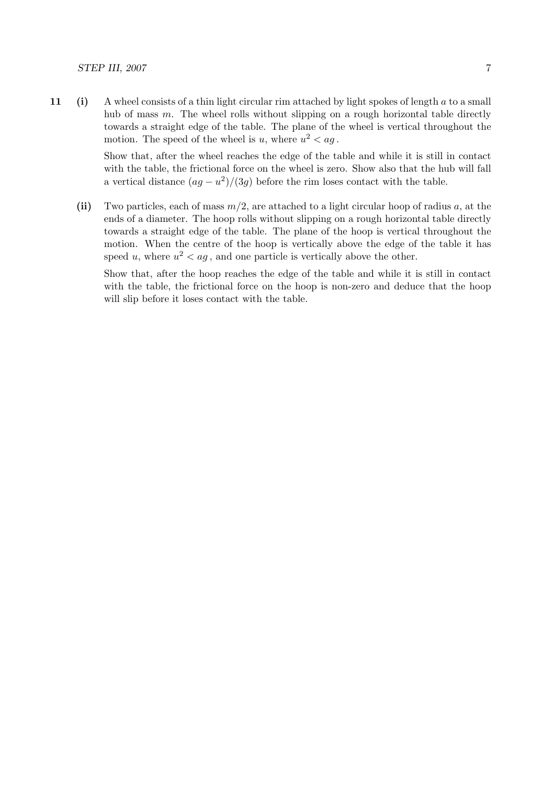11 (i) A wheel consists of a thin light circular rim attached by light spokes of length a to a small hub of mass  $m$ . The wheel rolls without slipping on a rough horizontal table directly towards a straight edge of the table. The plane of the wheel is vertical throughout the motion. The speed of the wheel is u, where  $u^2 < a$ g.

> Show that, after the wheel reaches the edge of the table and while it is still in contact with the table, the frictional force on the wheel is zero. Show also that the hub will fall a vertical distance  $(ag - u^2)/(3g)$  before the rim loses contact with the table.

(ii) Two particles, each of mass  $m/2$ , are attached to a light circular hoop of radius a, at the ends of a diameter. The hoop rolls without slipping on a rough horizontal table directly towards a straight edge of the table. The plane of the hoop is vertical throughout the motion. When the centre of the hoop is vertically above the edge of the table it has speed u, where  $u^2 < a$ g, and one particle is vertically above the other.

Show that, after the hoop reaches the edge of the table and while it is still in contact with the table, the frictional force on the hoop is non-zero and deduce that the hoop will slip before it loses contact with the table.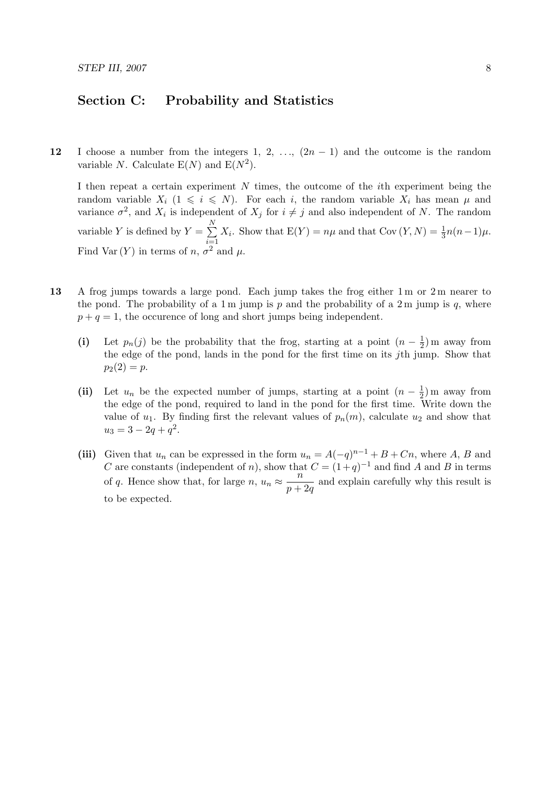## Section C: Probability and Statistics

12 I choose a number from the integers 1, 2, ...,  $(2n-1)$  and the outcome is the random variable N. Calculate  $E(N)$  and  $E(N^2)$ .

I then repeat a certain experiment  $N$  times, the outcome of the *i*th experiment being the random variable  $X_i$   $(1 \leq i \leq N)$ . For each i, the random variable  $X_i$  has mean  $\mu$  and variance  $\sigma^2$ , and  $X_i$  is independent of  $X_j$  for  $i \neq j$  and also independent of N. The random variable Y is defined by  $Y = \sum_{n=1}^{N}$  $i=1$  $X_i$ . Show that  $E(Y) = n\mu$  and that  $Cov(Y, N) = \frac{1}{3}n(n-1)\mu$ . Find Var  $(Y)$  in terms of n,  $\sigma^2$  and  $\mu$ .

- 13 A frog jumps towards a large pond. Each jump takes the frog either 1 m or 2 m nearer to the pond. The probability of a 1 m jump is  $p$  and the probability of a 2 m jump is  $q$ , where  $p + q = 1$ , the occurence of long and short jumps being independent.
	- (i) Let  $p_n(j)$  be the probability that the frog, starting at a point  $(n-\frac{1}{2})$  $(\frac{1}{2})$  m away from the edge of the pond, lands in the pond for the first time on its jth jump. Show that  $p_2(2) = p.$
	- (ii) Let  $u_n$  be the expected number of jumps, starting at a point  $(n \frac{1}{2})$  $(\frac{1}{2})$  m away from the edge of the pond, required to land in the pond for the first time. Write down the value of  $u_1$ . By finding first the relevant values of  $p_n(m)$ , calculate  $u_2$  and show that  $u_3 = 3 - 2q + q^2$ .
	- (iii) Given that  $u_n$  can be expressed in the form  $u_n = A(-q)^{n-1} + B + Cn$ , where A, B and C are constants (independent of n), show that  $C = (1+q)^{-1}$  and find A and B in terms of q. Hence show that, for large  $n, u_n \approx \frac{n}{n+1}$  $\frac{n}{p+2q}$  and explain carefully why this result is to be expected.